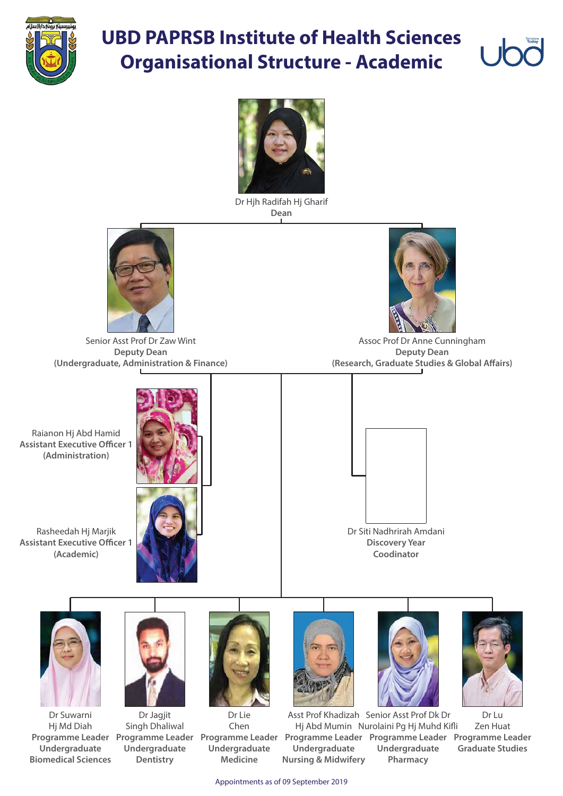

## **UBD PAPRSB Institute of Health Sciences Organisational Structure - Academic**



Appointments as of 09 September 2019

Assoc Prof Dr Anne Cunningham **Deputy Dean (Research, Graduate Studies & Global Affairs)** 

Dr Hjh Radifah Hj Gharif **Dean**



Senior Asst Prof Dr Zaw Wint **Deputy Dean (Undergraduate, Administration & Finance)**

















Dr Lu Zen Huat **Programme Leader Programme Leader Programme Leader Programme Leader Programme Leader Programme Leader Graduate Studies** Asst Prof Khadizah Senior Asst Prof Dk Dr Hj Abd Mumin Nurolaini Pg Hj Muhd Kifli **Undergraduate Pharmacy Undergraduate Nursing & Midwifery**

Dr Jagjit Singh Dhaliwal **Undergraduate Dentistry**

Dr Suwarni Hj Md Diah **Undergraduate Biomedical Sciences**

Dr Lie Chen **Undergraduate Medicine**